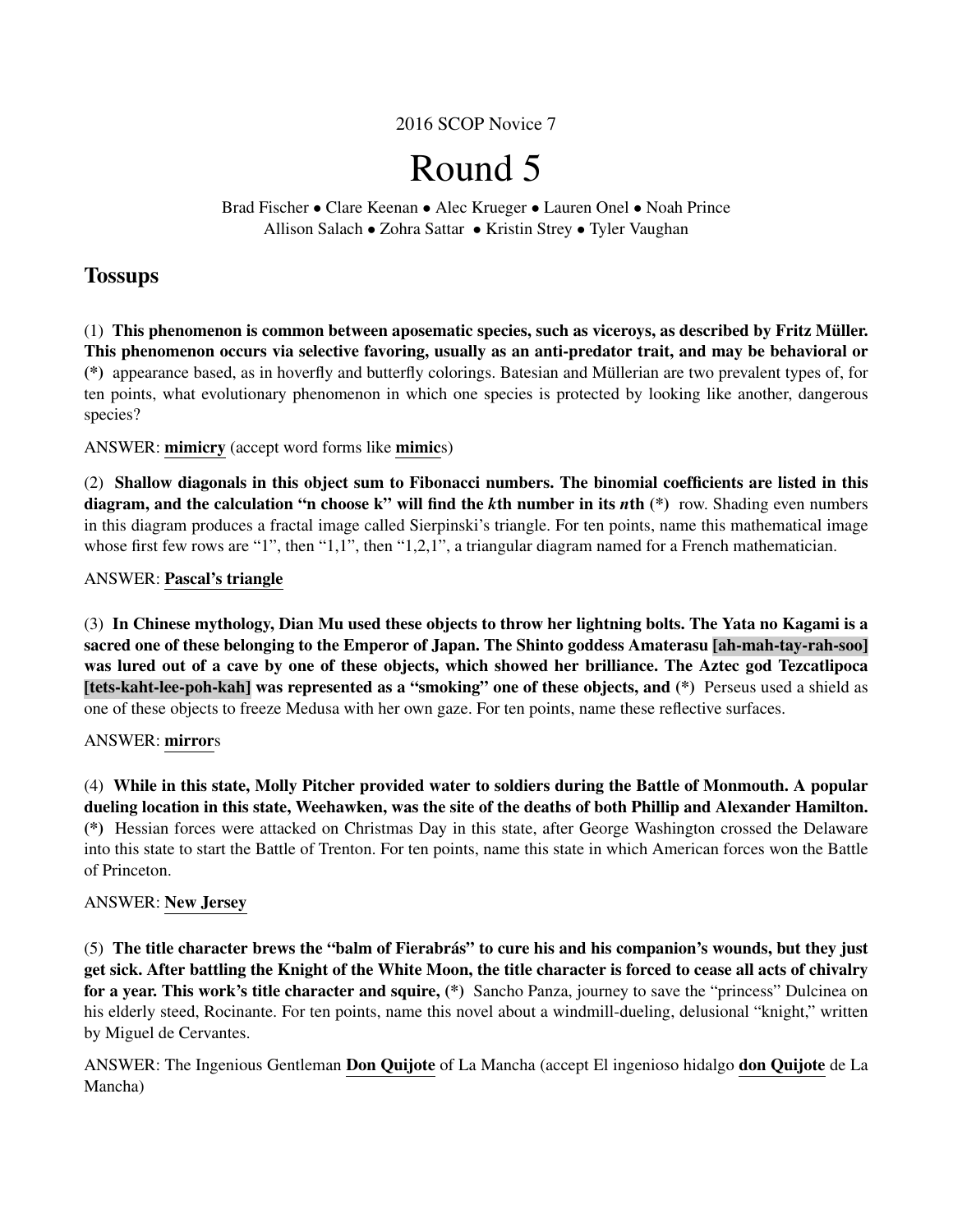2016 SCOP Novice 7

# Round 5

Brad Fischer • Clare Keenan • Alec Krueger • Lauren Onel • Noah Prince Allison Salach • Zohra Sattar • Kristin Strey • Tyler Vaughan

# **Tossups**

(1) This phenomenon is common between aposematic species, such as viceroys, as described by Fritz Muller. ¨ This phenomenon occurs via selective favoring, usually as an anti-predator trait, and may be behavioral or (\*) appearance based, as in hoverfly and butterfly colorings. Batesian and Mullerian are two prevalent types of, for ¨ ten points, what evolutionary phenomenon in which one species is protected by looking like another, dangerous species?

ANSWER: mimicry (accept word forms like mimics)

(2) Shallow diagonals in this object sum to Fibonacci numbers. The binomial coefficients are listed in this diagram, and the calculation "n choose k" will find the *k*th number in its *n*th (\*) row. Shading even numbers in this diagram produces a fractal image called Sierpinski's triangle. For ten points, name this mathematical image whose first few rows are "1", then "1,1", then "1,2,1", a triangular diagram named for a French mathematician.

# ANSWER: Pascal's triangle

(3) In Chinese mythology, Dian Mu used these objects to throw her lightning bolts. The Yata no Kagami is a sacred one of these belonging to the Emperor of Japan. The Shinto goddess Amaterasu [ah-mah-tay-rah-soo] was lured out of a cave by one of these objects, which showed her brilliance. The Aztec god Tezcatlipoca [tets-kaht-lee-poh-kah] was represented as a "smoking" one of these objects, and (\*) Perseus used a shield as one of these objects to freeze Medusa with her own gaze. For ten points, name these reflective surfaces.

# ANSWER: mirrors

(4) While in this state, Molly Pitcher provided water to soldiers during the Battle of Monmouth. A popular dueling location in this state, Weehawken, was the site of the deaths of both Phillip and Alexander Hamilton. (\*) Hessian forces were attacked on Christmas Day in this state, after George Washington crossed the Delaware into this state to start the Battle of Trenton. For ten points, name this state in which American forces won the Battle of Princeton.

# ANSWER: New Jersey

(5) The title character brews the "balm of Fierabras" to cure his and his companion's wounds, but they just ´ get sick. After battling the Knight of the White Moon, the title character is forced to cease all acts of chivalry for a year. This work's title character and squire, (\*) Sancho Panza, journey to save the "princess" Dulcinea on his elderly steed, Rocinante. For ten points, name this novel about a windmill-dueling, delusional "knight," written by Miguel de Cervantes.

ANSWER: The Ingenious Gentleman Don Quijote of La Mancha (accept El ingenioso hidalgo don Quijote de La Mancha)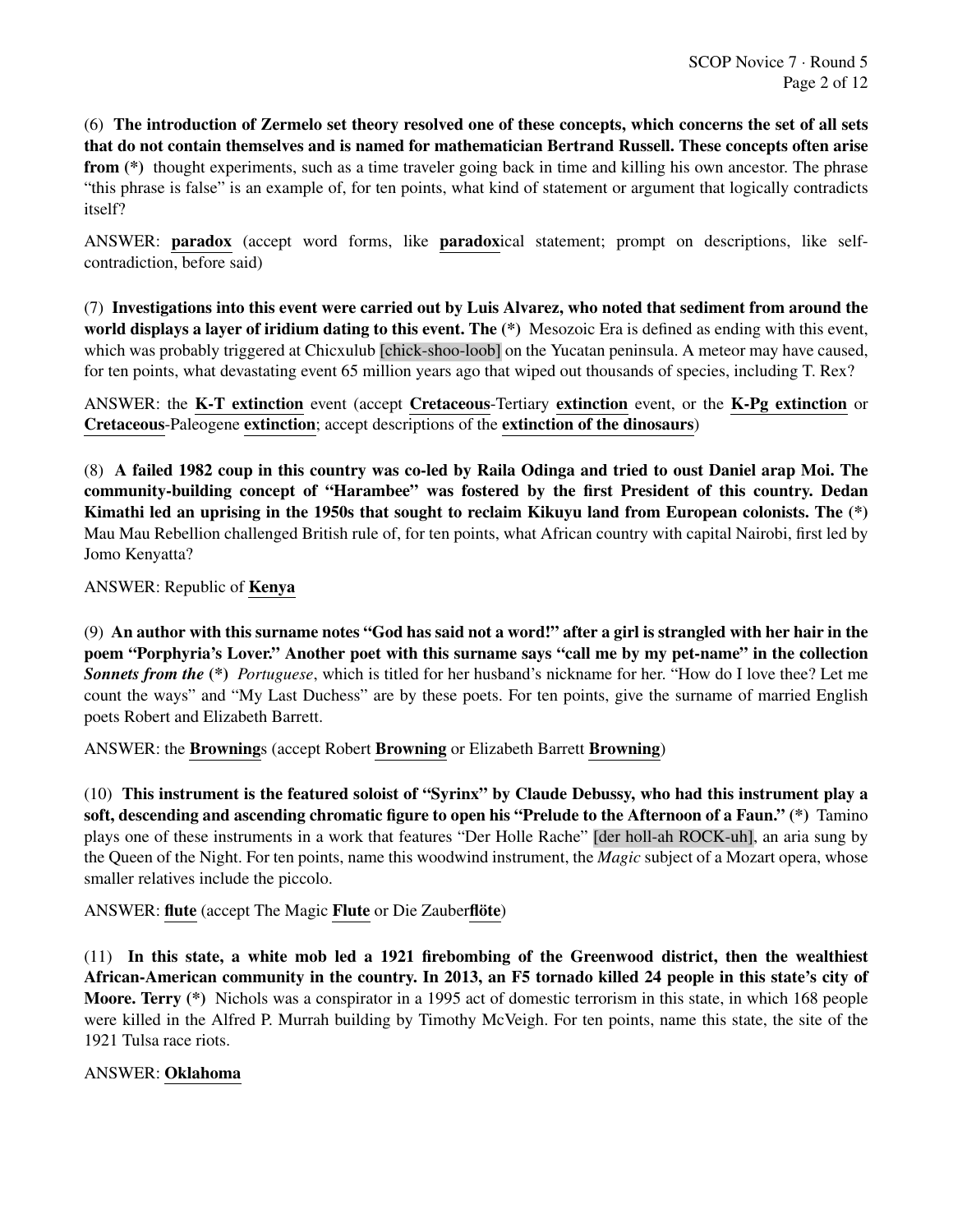(6) The introduction of Zermelo set theory resolved one of these concepts, which concerns the set of all sets that do not contain themselves and is named for mathematician Bertrand Russell. These concepts often arise from (\*) thought experiments, such as a time traveler going back in time and killing his own ancestor. The phrase "this phrase is false" is an example of, for ten points, what kind of statement or argument that logically contradicts itself?

ANSWER: paradox (accept word forms, like paradoxical statement; prompt on descriptions, like selfcontradiction, before said)

(7) Investigations into this event were carried out by Luis Alvarez, who noted that sediment from around the world displays a layer of iridium dating to this event. The (\*) Mesozoic Era is defined as ending with this event, which was probably triggered at Chicxulub [chick-shoo-loob] on the Yucatan peninsula. A meteor may have caused, for ten points, what devastating event 65 million years ago that wiped out thousands of species, including T. Rex?

ANSWER: the K-T extinction event (accept Cretaceous-Tertiary extinction event, or the K-Pg extinction or Cretaceous-Paleogene extinction; accept descriptions of the extinction of the dinosaurs)

(8) A failed 1982 coup in this country was co-led by Raila Odinga and tried to oust Daniel arap Moi. The community-building concept of "Harambee" was fostered by the first President of this country. Dedan Kimathi led an uprising in the 1950s that sought to reclaim Kikuyu land from European colonists. The  $(*)$ Mau Mau Rebellion challenged British rule of, for ten points, what African country with capital Nairobi, first led by Jomo Kenyatta?

ANSWER: Republic of Kenya

(9) An author with this surname notes "God has said not a word!" after a girl is strangled with her hair in the poem "Porphyria's Lover." Another poet with this surname says "call me by my pet-name" in the collection *Sonnets from the* (\*) *Portuguese*, which is titled for her husband's nickname for her. "How do I love thee? Let me count the ways" and "My Last Duchess" are by these poets. For ten points, give the surname of married English poets Robert and Elizabeth Barrett.

ANSWER: the Brownings (accept Robert Browning or Elizabeth Barrett Browning)

(10) This instrument is the featured soloist of "Syrinx" by Claude Debussy, who had this instrument play a soft, descending and ascending chromatic figure to open his "Prelude to the Afternoon of a Faun." (\*) Tamino plays one of these instruments in a work that features "Der Holle Rache" [der holl-ah ROCK-uh], an aria sung by the Queen of the Night. For ten points, name this woodwind instrument, the *Magic* subject of a Mozart opera, whose smaller relatives include the piccolo.

ANSWER: flute (accept The Magic Flute or Die Zauberflöte)

(11) In this state, a white mob led a 1921 firebombing of the Greenwood district, then the wealthiest African-American community in the country. In 2013, an F5 tornado killed 24 people in this state's city of Moore. Terry (\*) Nichols was a conspirator in a 1995 act of domestic terrorism in this state, in which 168 people were killed in the Alfred P. Murrah building by Timothy McVeigh. For ten points, name this state, the site of the 1921 Tulsa race riots.

# ANSWER: Oklahoma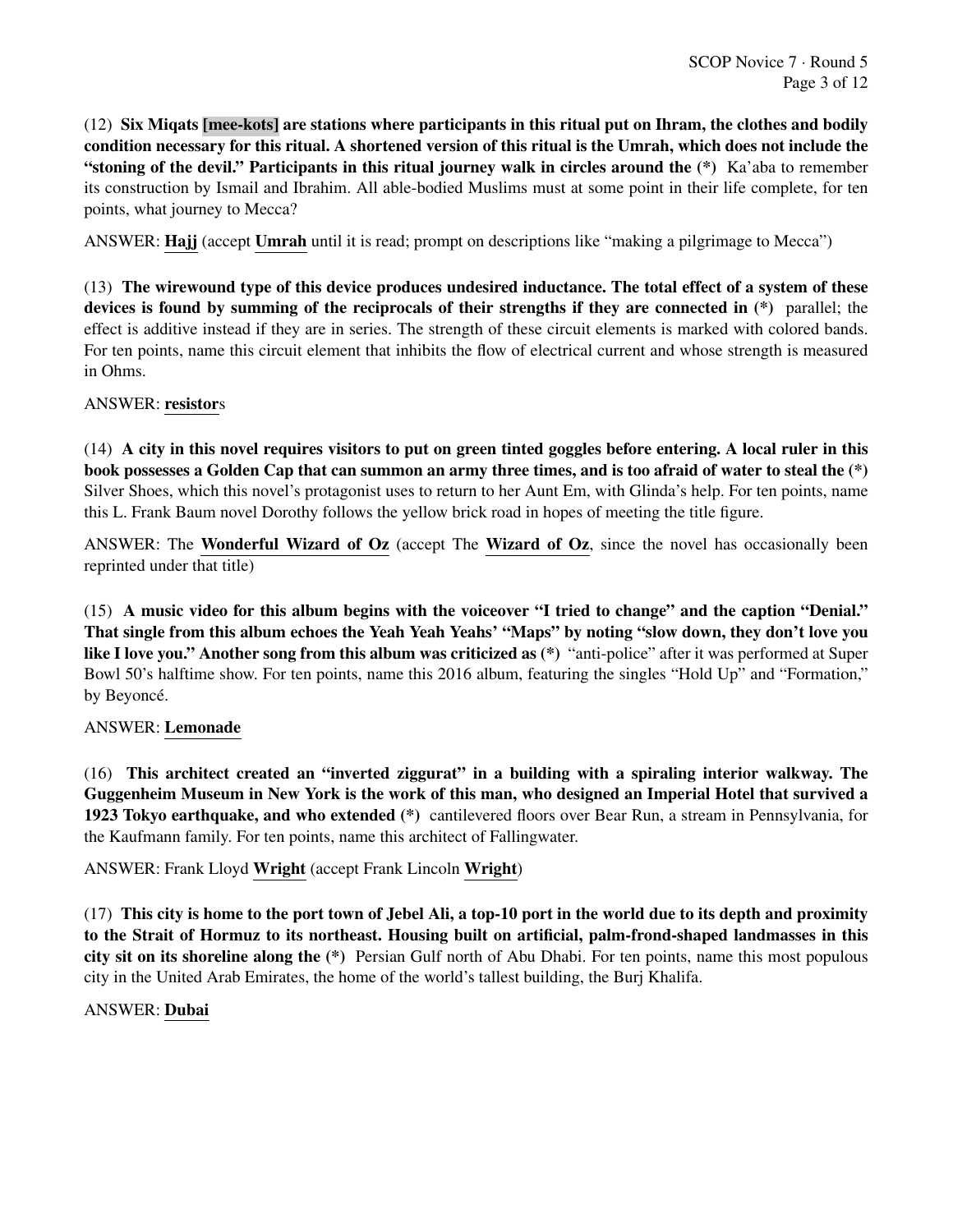(12) Six Miqats [mee-kots] are stations where participants in this ritual put on Ihram, the clothes and bodily condition necessary for this ritual. A shortened version of this ritual is the Umrah, which does not include the "stoning of the devil." Participants in this ritual journey walk in circles around the (\*) Ka'aba to remember its construction by Ismail and Ibrahim. All able-bodied Muslims must at some point in their life complete, for ten points, what journey to Mecca?

ANSWER: Hajj (accept Umrah until it is read; prompt on descriptions like "making a pilgrimage to Mecca")

(13) The wirewound type of this device produces undesired inductance. The total effect of a system of these devices is found by summing of the reciprocals of their strengths if they are connected in (\*) parallel; the effect is additive instead if they are in series. The strength of these circuit elements is marked with colored bands. For ten points, name this circuit element that inhibits the flow of electrical current and whose strength is measured in Ohms.

#### ANSWER: resistors

(14) A city in this novel requires visitors to put on green tinted goggles before entering. A local ruler in this book possesses a Golden Cap that can summon an army three times, and is too afraid of water to steal the (\*) Silver Shoes, which this novel's protagonist uses to return to her Aunt Em, with Glinda's help. For ten points, name this L. Frank Baum novel Dorothy follows the yellow brick road in hopes of meeting the title figure.

ANSWER: The Wonderful Wizard of Oz (accept The Wizard of Oz, since the novel has occasionally been reprinted under that title)

(15) A music video for this album begins with the voiceover "I tried to change" and the caption "Denial." That single from this album echoes the Yeah Yeah Yeahs' "Maps" by noting "slow down, they don't love you like I love you." Another song from this album was criticized as (\*) "anti-police" after it was performed at Super Bowl 50's halftime show. For ten points, name this 2016 album, featuring the singles "Hold Up" and "Formation," by Beyoncé.

# ANSWER: Lemonade

(16) This architect created an "inverted ziggurat" in a building with a spiraling interior walkway. The Guggenheim Museum in New York is the work of this man, who designed an Imperial Hotel that survived a 1923 Tokyo earthquake, and who extended (\*) cantilevered floors over Bear Run, a stream in Pennsylvania, for the Kaufmann family. For ten points, name this architect of Fallingwater.

ANSWER: Frank Lloyd Wright (accept Frank Lincoln Wright)

(17) This city is home to the port town of Jebel Ali, a top-10 port in the world due to its depth and proximity to the Strait of Hormuz to its northeast. Housing built on artificial, palm-frond-shaped landmasses in this city sit on its shoreline along the (\*) Persian Gulf north of Abu Dhabi. For ten points, name this most populous city in the United Arab Emirates, the home of the world's tallest building, the Burj Khalifa.

# ANSWER: Dubai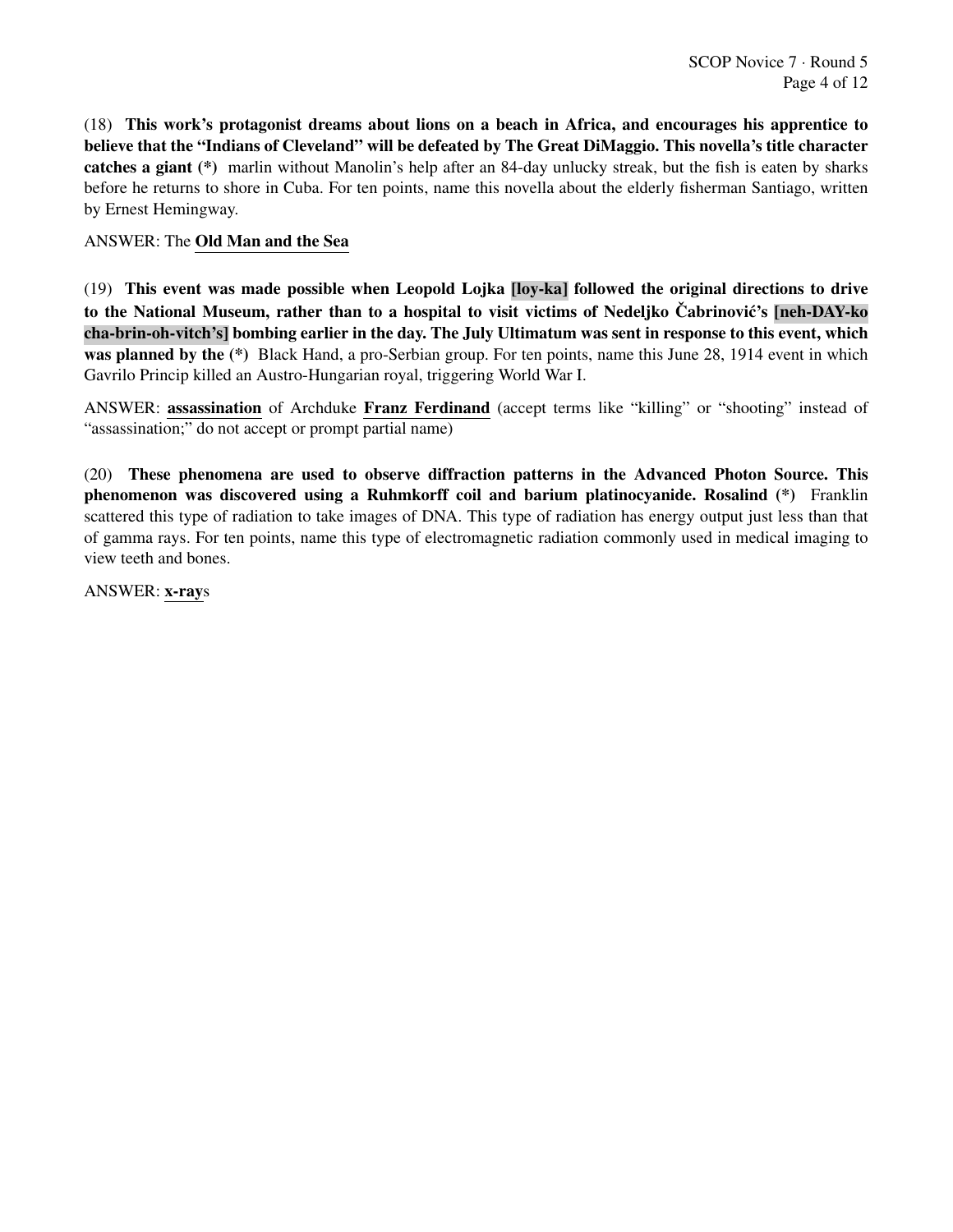(18) This work's protagonist dreams about lions on a beach in Africa, and encourages his apprentice to believe that the "Indians of Cleveland" will be defeated by The Great DiMaggio. This novella's title character catches a giant (\*) marlin without Manolin's help after an 84-day unlucky streak, but the fish is eaten by sharks before he returns to shore in Cuba. For ten points, name this novella about the elderly fisherman Santiago, written by Ernest Hemingway.

# ANSWER: The Old Man and the Sea

(19) This event was made possible when Leopold Lojka [loy-ka] followed the original directions to drive to the National Museum, rather than to a hospital to visit victims of Nedeliko Čabrinović's [neh-DAY-ko] cha-brin-oh-vitch's] bombing earlier in the day. The July Ultimatum was sent in response to this event, which was planned by the (\*) Black Hand, a pro-Serbian group. For ten points, name this June 28, 1914 event in which Gavrilo Princip killed an Austro-Hungarian royal, triggering World War I.

ANSWER: assassination of Archduke Franz Ferdinand (accept terms like "killing" or "shooting" instead of "assassination;" do not accept or prompt partial name)

(20) These phenomena are used to observe diffraction patterns in the Advanced Photon Source. This phenomenon was discovered using a Ruhmkorff coil and barium platinocyanide. Rosalind (\*) Franklin scattered this type of radiation to take images of DNA. This type of radiation has energy output just less than that of gamma rays. For ten points, name this type of electromagnetic radiation commonly used in medical imaging to view teeth and bones.

ANSWER: x-rays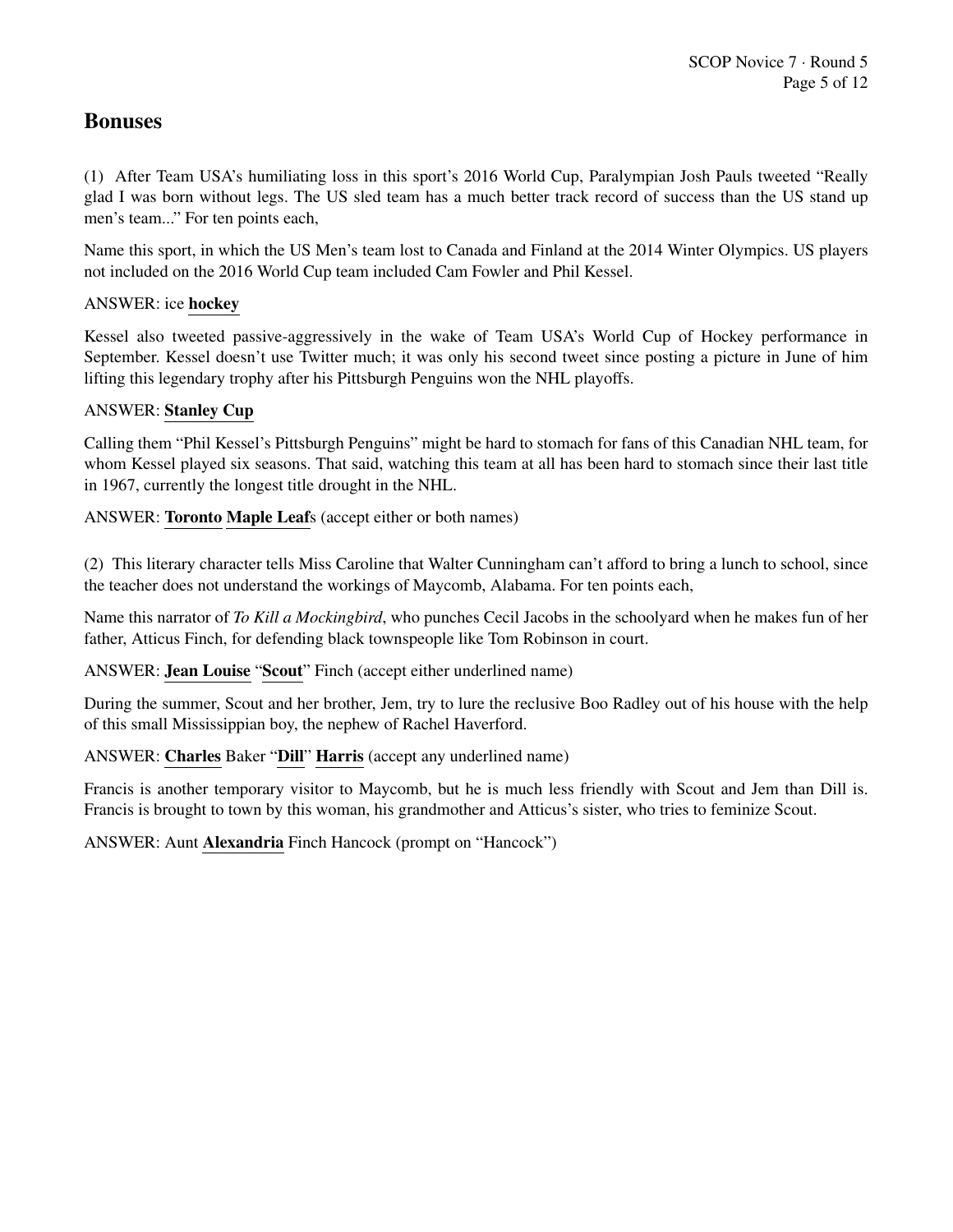# Bonuses

(1) After Team USA's humiliating loss in this sport's 2016 World Cup, Paralympian Josh Pauls tweeted "Really glad I was born without legs. The US sled team has a much better track record of success than the US stand up men's team..." For ten points each,

Name this sport, in which the US Men's team lost to Canada and Finland at the 2014 Winter Olympics. US players not included on the 2016 World Cup team included Cam Fowler and Phil Kessel.

# ANSWER: ice hockey

Kessel also tweeted passive-aggressively in the wake of Team USA's World Cup of Hockey performance in September. Kessel doesn't use Twitter much; it was only his second tweet since posting a picture in June of him lifting this legendary trophy after his Pittsburgh Penguins won the NHL playoffs.

# ANSWER: Stanley Cup

Calling them "Phil Kessel's Pittsburgh Penguins" might be hard to stomach for fans of this Canadian NHL team, for whom Kessel played six seasons. That said, watching this team at all has been hard to stomach since their last title in 1967, currently the longest title drought in the NHL.

ANSWER: Toronto Maple Leafs (accept either or both names)

(2) This literary character tells Miss Caroline that Walter Cunningham can't afford to bring a lunch to school, since the teacher does not understand the workings of Maycomb, Alabama. For ten points each,

Name this narrator of *To Kill a Mockingbird*, who punches Cecil Jacobs in the schoolyard when he makes fun of her father, Atticus Finch, for defending black townspeople like Tom Robinson in court.

ANSWER: Jean Louise "Scout" Finch (accept either underlined name)

During the summer, Scout and her brother, Jem, try to lure the reclusive Boo Radley out of his house with the help of this small Mississippian boy, the nephew of Rachel Haverford.

ANSWER: Charles Baker "Dill" Harris (accept any underlined name)

Francis is another temporary visitor to Maycomb, but he is much less friendly with Scout and Jem than Dill is. Francis is brought to town by this woman, his grandmother and Atticus's sister, who tries to feminize Scout.

ANSWER: Aunt Alexandria Finch Hancock (prompt on "Hancock")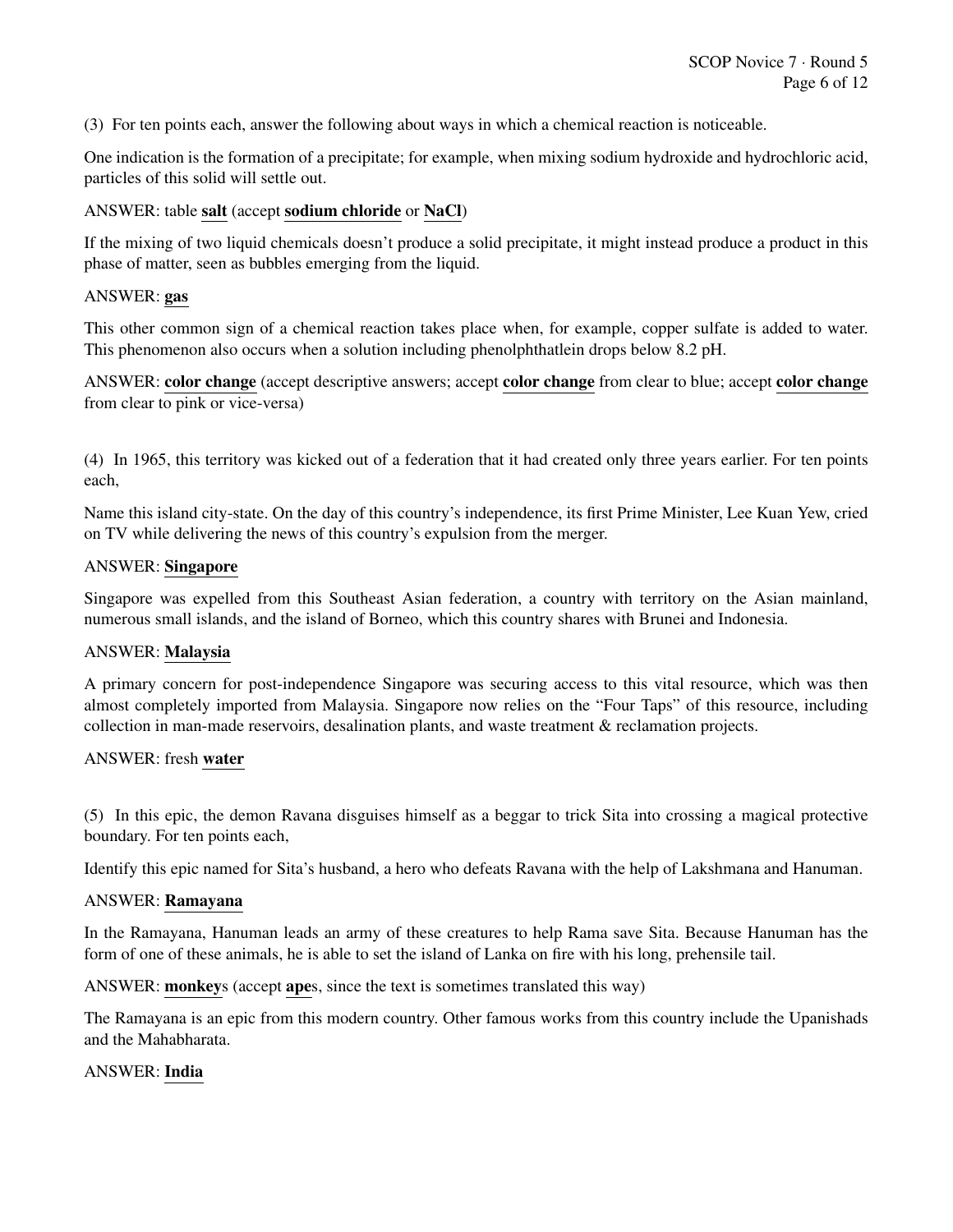(3) For ten points each, answer the following about ways in which a chemical reaction is noticeable.

One indication is the formation of a precipitate; for example, when mixing sodium hydroxide and hydrochloric acid, particles of this solid will settle out.

# ANSWER: table salt (accept sodium chloride or NaCl)

If the mixing of two liquid chemicals doesn't produce a solid precipitate, it might instead produce a product in this phase of matter, seen as bubbles emerging from the liquid.

#### ANSWER: gas

This other common sign of a chemical reaction takes place when, for example, copper sulfate is added to water. This phenomenon also occurs when a solution including phenolphthatlein drops below 8.2 pH.

ANSWER: color change (accept descriptive answers; accept color change from clear to blue; accept color change from clear to pink or vice-versa)

(4) In 1965, this territory was kicked out of a federation that it had created only three years earlier. For ten points each,

Name this island city-state. On the day of this country's independence, its first Prime Minister, Lee Kuan Yew, cried on TV while delivering the news of this country's expulsion from the merger.

#### ANSWER: Singapore

Singapore was expelled from this Southeast Asian federation, a country with territory on the Asian mainland, numerous small islands, and the island of Borneo, which this country shares with Brunei and Indonesia.

#### ANSWER: Malaysia

A primary concern for post-independence Singapore was securing access to this vital resource, which was then almost completely imported from Malaysia. Singapore now relies on the "Four Taps" of this resource, including collection in man-made reservoirs, desalination plants, and waste treatment & reclamation projects.

#### ANSWER: fresh water

(5) In this epic, the demon Ravana disguises himself as a beggar to trick Sita into crossing a magical protective boundary. For ten points each,

Identify this epic named for Sita's husband, a hero who defeats Ravana with the help of Lakshmana and Hanuman.

#### ANSWER: Ramayana

In the Ramayana, Hanuman leads an army of these creatures to help Rama save Sita. Because Hanuman has the form of one of these animals, he is able to set the island of Lanka on fire with his long, prehensile tail.

ANSWER: monkeys (accept apes, since the text is sometimes translated this way)

The Ramayana is an epic from this modern country. Other famous works from this country include the Upanishads and the Mahabharata.

#### ANSWER: India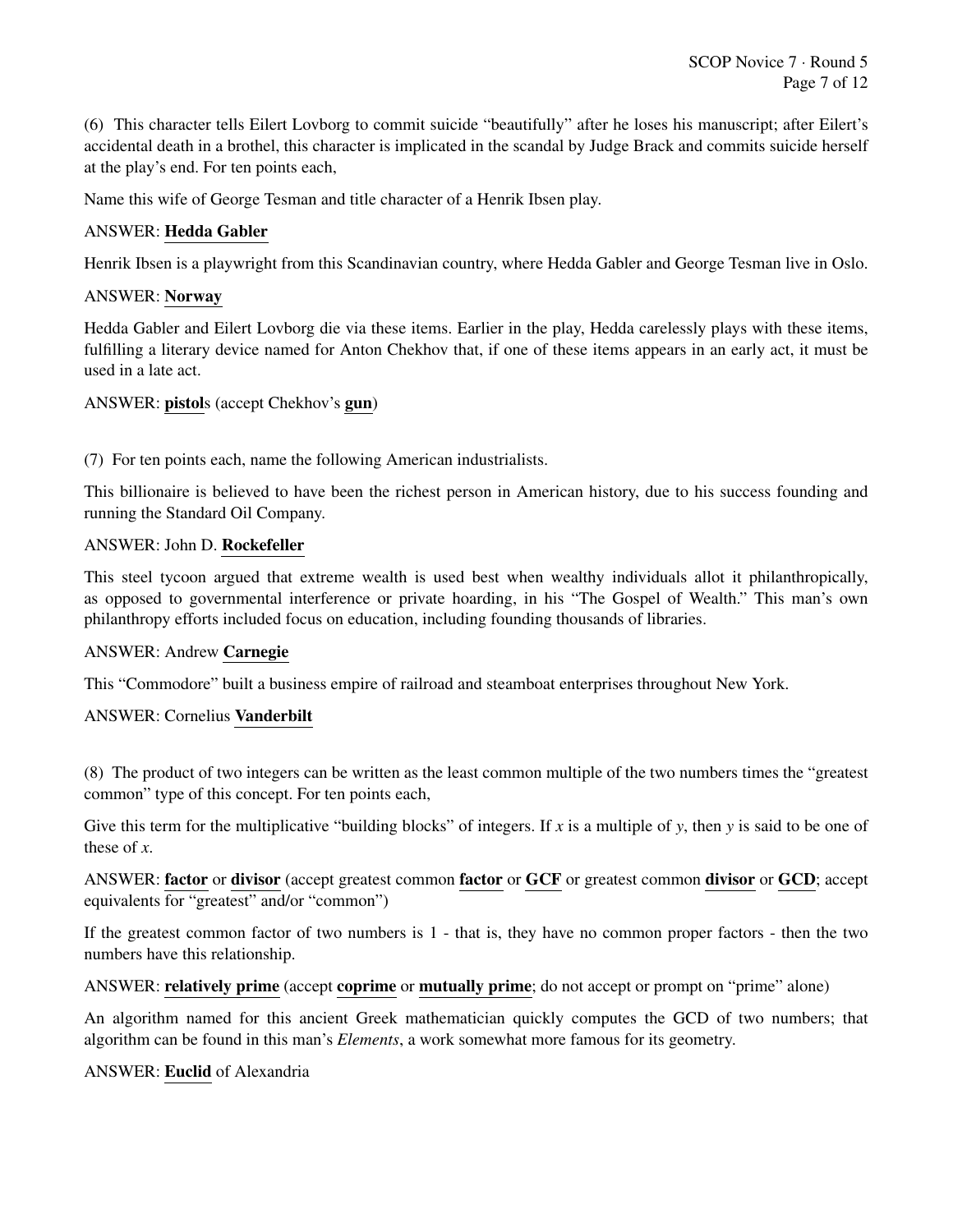(6) This character tells Eilert Lovborg to commit suicide "beautifully" after he loses his manuscript; after Eilert's accidental death in a brothel, this character is implicated in the scandal by Judge Brack and commits suicide herself at the play's end. For ten points each,

Name this wife of George Tesman and title character of a Henrik Ibsen play.

# ANSWER: Hedda Gabler

Henrik Ibsen is a playwright from this Scandinavian country, where Hedda Gabler and George Tesman live in Oslo.

# ANSWER: Norway

Hedda Gabler and Eilert Lovborg die via these items. Earlier in the play, Hedda carelessly plays with these items, fulfilling a literary device named for Anton Chekhov that, if one of these items appears in an early act, it must be used in a late act.

# ANSWER: pistols (accept Chekhov's gun)

(7) For ten points each, name the following American industrialists.

This billionaire is believed to have been the richest person in American history, due to his success founding and running the Standard Oil Company.

# ANSWER: John D. Rockefeller

This steel tycoon argued that extreme wealth is used best when wealthy individuals allot it philanthropically, as opposed to governmental interference or private hoarding, in his "The Gospel of Wealth." This man's own philanthropy efforts included focus on education, including founding thousands of libraries.

# ANSWER: Andrew Carnegie

This "Commodore" built a business empire of railroad and steamboat enterprises throughout New York.

# ANSWER: Cornelius Vanderbilt

(8) The product of two integers can be written as the least common multiple of the two numbers times the "greatest common" type of this concept. For ten points each,

Give this term for the multiplicative "building blocks" of integers. If x is a multiple of y, then y is said to be one of these of *x*.

ANSWER: factor or divisor (accept greatest common factor or GCF or greatest common divisor or GCD; accept equivalents for "greatest" and/or "common")

If the greatest common factor of two numbers is 1 - that is, they have no common proper factors - then the two numbers have this relationship.

ANSWER: relatively prime (accept coprime or mutually prime; do not accept or prompt on "prime" alone)

An algorithm named for this ancient Greek mathematician quickly computes the GCD of two numbers; that algorithm can be found in this man's *Elements*, a work somewhat more famous for its geometry.

# ANSWER: Euclid of Alexandria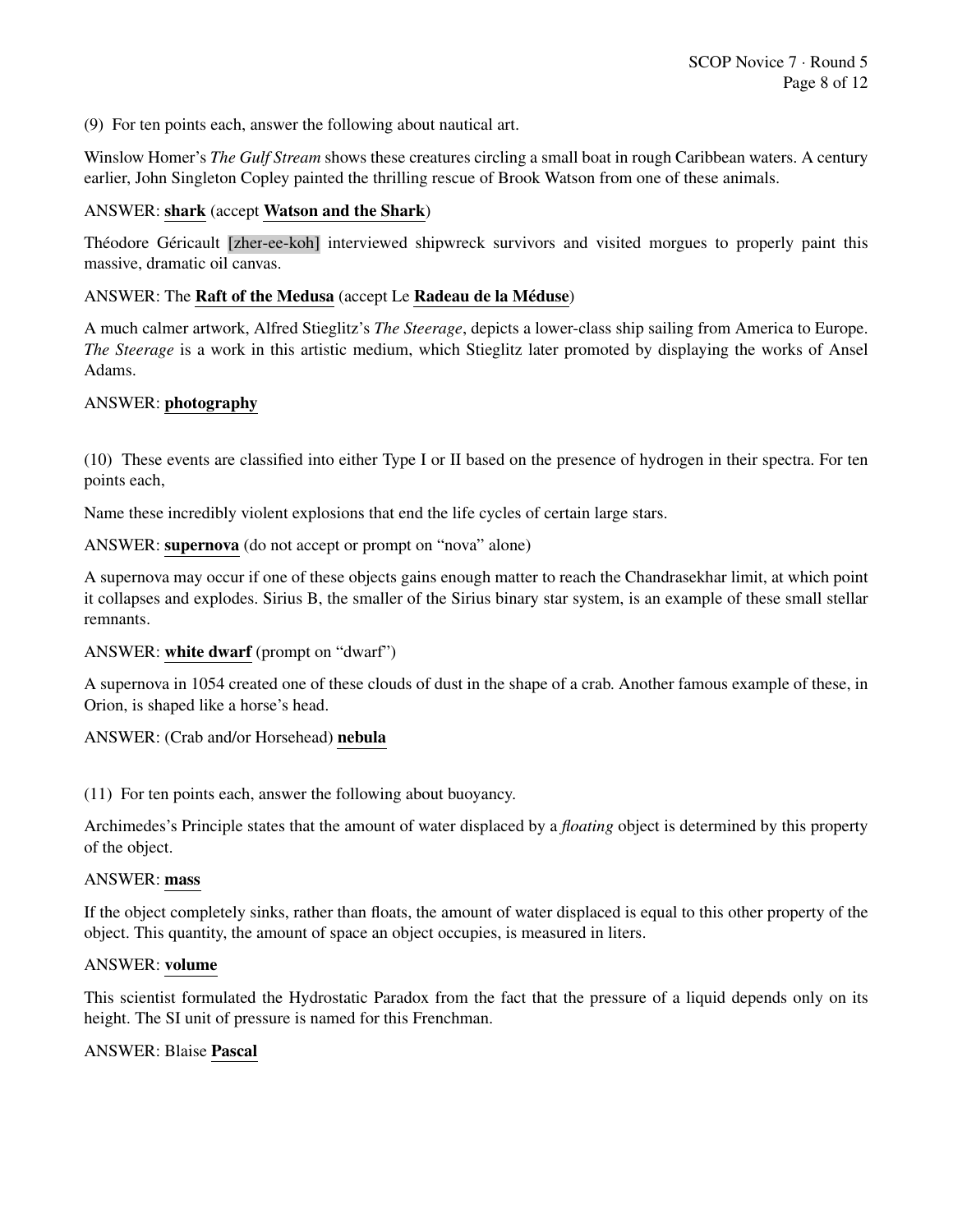(9) For ten points each, answer the following about nautical art.

Winslow Homer's *The Gulf Stream* shows these creatures circling a small boat in rough Caribbean waters. A century earlier, John Singleton Copley painted the thrilling rescue of Brook Watson from one of these animals.

#### ANSWER: shark (accept Watson and the Shark)

Théodore Géricault [zher-ee-koh] interviewed shipwreck survivors and visited morgues to properly paint this massive, dramatic oil canvas.

#### ANSWER: The Raft of the Medusa (accept Le Radeau de la Méduse)

A much calmer artwork, Alfred Stieglitz's *The Steerage*, depicts a lower-class ship sailing from America to Europe. *The Steerage* is a work in this artistic medium, which Stieglitz later promoted by displaying the works of Ansel Adams.

#### ANSWER: photography

(10) These events are classified into either Type I or II based on the presence of hydrogen in their spectra. For ten points each,

Name these incredibly violent explosions that end the life cycles of certain large stars.

ANSWER: supernova (do not accept or prompt on "nova" alone)

A supernova may occur if one of these objects gains enough matter to reach the Chandrasekhar limit, at which point it collapses and explodes. Sirius B, the smaller of the Sirius binary star system, is an example of these small stellar remnants.

#### ANSWER: white dwarf (prompt on "dwarf")

A supernova in 1054 created one of these clouds of dust in the shape of a crab. Another famous example of these, in Orion, is shaped like a horse's head.

# ANSWER: (Crab and/or Horsehead) nebula

(11) For ten points each, answer the following about buoyancy.

Archimedes's Principle states that the amount of water displaced by a *floating* object is determined by this property of the object.

#### ANSWER: mass

If the object completely sinks, rather than floats, the amount of water displaced is equal to this other property of the object. This quantity, the amount of space an object occupies, is measured in liters.

#### ANSWER: volume

This scientist formulated the Hydrostatic Paradox from the fact that the pressure of a liquid depends only on its height. The SI unit of pressure is named for this Frenchman.

#### ANSWER: Blaise Pascal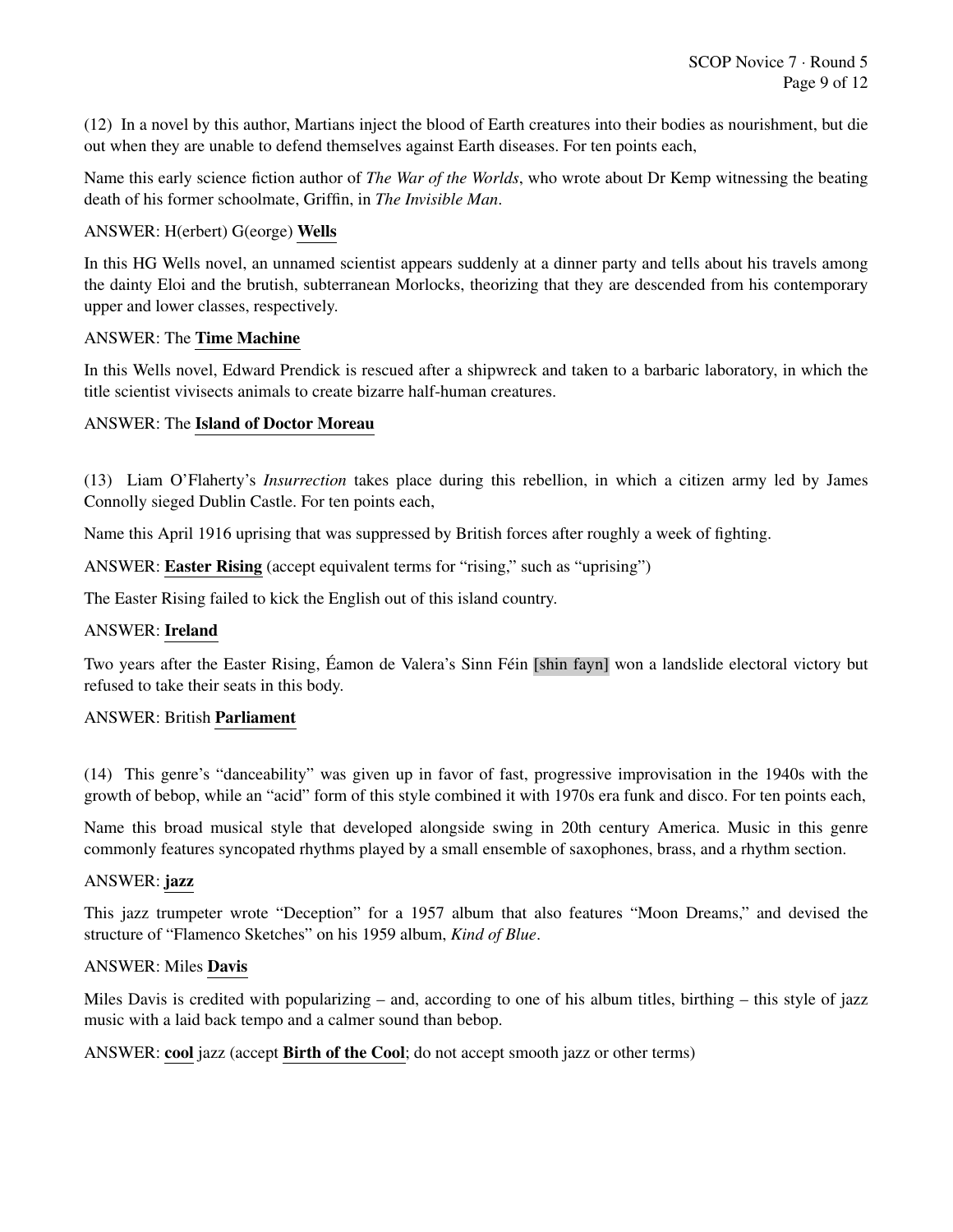(12) In a novel by this author, Martians inject the blood of Earth creatures into their bodies as nourishment, but die out when they are unable to defend themselves against Earth diseases. For ten points each,

Name this early science fiction author of *The War of the Worlds*, who wrote about Dr Kemp witnessing the beating death of his former schoolmate, Griffin, in *The Invisible Man*.

# ANSWER: H(erbert) G(eorge) Wells

In this HG Wells novel, an unnamed scientist appears suddenly at a dinner party and tells about his travels among the dainty Eloi and the brutish, subterranean Morlocks, theorizing that they are descended from his contemporary upper and lower classes, respectively.

# ANSWER: The Time Machine

In this Wells novel, Edward Prendick is rescued after a shipwreck and taken to a barbaric laboratory, in which the title scientist vivisects animals to create bizarre half-human creatures.

# ANSWER: The Island of Doctor Moreau

(13) Liam O'Flaherty's *Insurrection* takes place during this rebellion, in which a citizen army led by James Connolly sieged Dublin Castle. For ten points each,

Name this April 1916 uprising that was suppressed by British forces after roughly a week of fighting.

ANSWER: **Easter Rising** (accept equivalent terms for "rising," such as "uprising")

The Easter Rising failed to kick the English out of this island country.

# ANSWER: Ireland

Two years after the Easter Rising, Éamon de Valera's Sinn Féin [shin fayn] won a landslide electoral victory but refused to take their seats in this body.

# ANSWER: British Parliament

(14) This genre's "danceability" was given up in favor of fast, progressive improvisation in the 1940s with the growth of bebop, while an "acid" form of this style combined it with 1970s era funk and disco. For ten points each,

Name this broad musical style that developed alongside swing in 20th century America. Music in this genre commonly features syncopated rhythms played by a small ensemble of saxophones, brass, and a rhythm section.

# ANSWER: jazz

This jazz trumpeter wrote "Deception" for a 1957 album that also features "Moon Dreams," and devised the structure of "Flamenco Sketches" on his 1959 album, *Kind of Blue*.

# ANSWER: Miles Davis

Miles Davis is credited with popularizing – and, according to one of his album titles, birthing – this style of jazz music with a laid back tempo and a calmer sound than bebop.

ANSWER: cool jazz (accept Birth of the Cool; do not accept smooth jazz or other terms)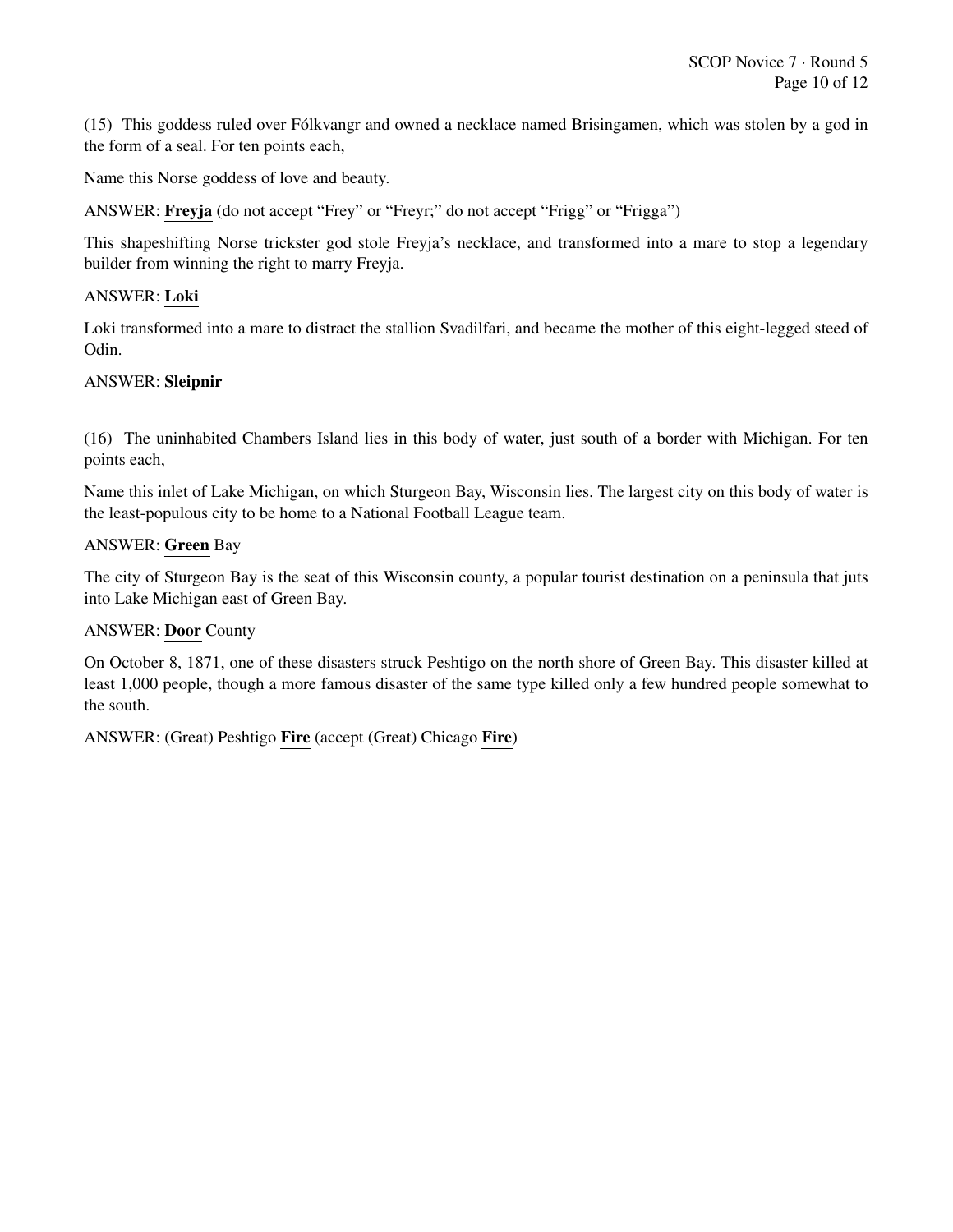(15) This goddess ruled over Folkvangr and owned a necklace named Brisingamen, which was stolen by a god in ´ the form of a seal. For ten points each,

Name this Norse goddess of love and beauty.

ANSWER: Freyja (do not accept "Frey" or "Freyr;" do not accept "Frigg" or "Frigga")

This shapeshifting Norse trickster god stole Freyja's necklace, and transformed into a mare to stop a legendary builder from winning the right to marry Freyja.

# ANSWER: Loki

Loki transformed into a mare to distract the stallion Svadilfari, and became the mother of this eight-legged steed of Odin.

# ANSWER: Sleipnir

(16) The uninhabited Chambers Island lies in this body of water, just south of a border with Michigan. For ten points each,

Name this inlet of Lake Michigan, on which Sturgeon Bay, Wisconsin lies. The largest city on this body of water is the least-populous city to be home to a National Football League team.

#### ANSWER: Green Bay

The city of Sturgeon Bay is the seat of this Wisconsin county, a popular tourist destination on a peninsula that juts into Lake Michigan east of Green Bay.

#### ANSWER: Door County

On October 8, 1871, one of these disasters struck Peshtigo on the north shore of Green Bay. This disaster killed at least 1,000 people, though a more famous disaster of the same type killed only a few hundred people somewhat to the south.

ANSWER: (Great) Peshtigo Fire (accept (Great) Chicago Fire)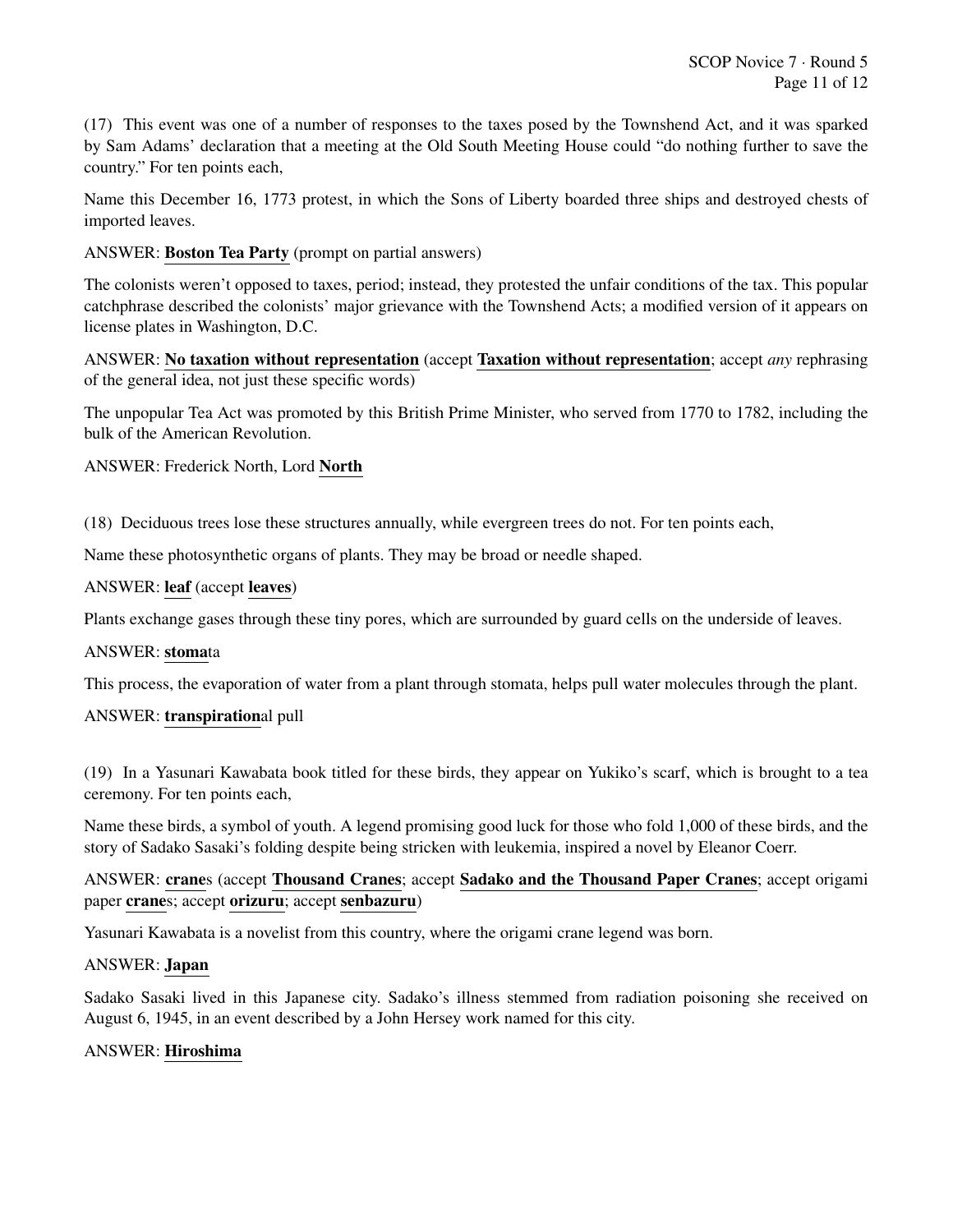(17) This event was one of a number of responses to the taxes posed by the Townshend Act, and it was sparked by Sam Adams' declaration that a meeting at the Old South Meeting House could "do nothing further to save the country." For ten points each,

Name this December 16, 1773 protest, in which the Sons of Liberty boarded three ships and destroyed chests of imported leaves.

ANSWER: Boston Tea Party (prompt on partial answers)

The colonists weren't opposed to taxes, period; instead, they protested the unfair conditions of the tax. This popular catchphrase described the colonists' major grievance with the Townshend Acts; a modified version of it appears on license plates in Washington, D.C.

ANSWER: No taxation without representation (accept Taxation without representation; accept *any* rephrasing of the general idea, not just these specific words)

The unpopular Tea Act was promoted by this British Prime Minister, who served from 1770 to 1782, including the bulk of the American Revolution.

ANSWER: Frederick North, Lord North

(18) Deciduous trees lose these structures annually, while evergreen trees do not. For ten points each,

Name these photosynthetic organs of plants. They may be broad or needle shaped.

#### ANSWER: leaf (accept leaves)

Plants exchange gases through these tiny pores, which are surrounded by guard cells on the underside of leaves.

#### ANSWER: stomata

This process, the evaporation of water from a plant through stomata, helps pull water molecules through the plant.

#### ANSWER: transpirational pull

(19) In a Yasunari Kawabata book titled for these birds, they appear on Yukiko's scarf, which is brought to a tea ceremony. For ten points each,

Name these birds, a symbol of youth. A legend promising good luck for those who fold 1,000 of these birds, and the story of Sadako Sasaki's folding despite being stricken with leukemia, inspired a novel by Eleanor Coerr.

ANSWER: cranes (accept Thousand Cranes; accept Sadako and the Thousand Paper Cranes; accept origami paper cranes; accept orizuru; accept senbazuru)

Yasunari Kawabata is a novelist from this country, where the origami crane legend was born.

#### ANSWER: Japan

Sadako Sasaki lived in this Japanese city. Sadako's illness stemmed from radiation poisoning she received on August 6, 1945, in an event described by a John Hersey work named for this city.

# ANSWER: Hiroshima